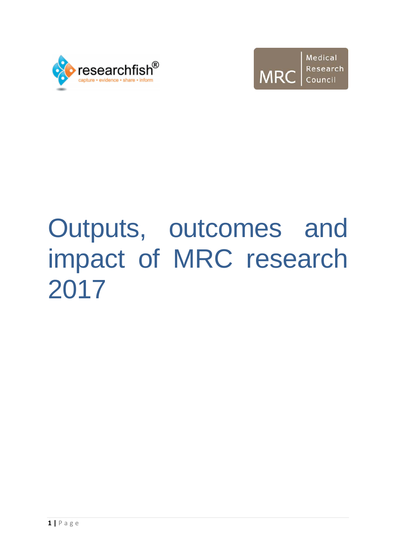



# Outputs, outcomes and impact of MRC research 2017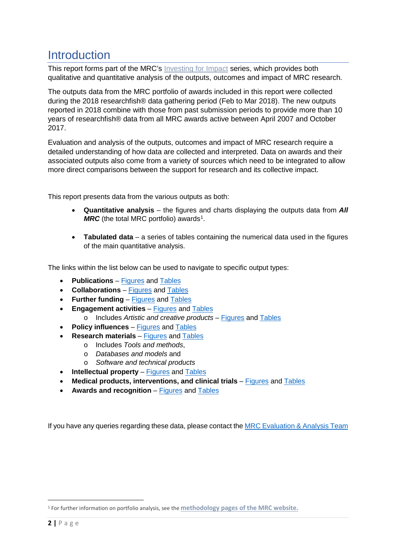# **Introduction**

This report forms part of the MRC's [Investing for Impact](https://www.mrc.ac.uk/successes/investing-for-impact/) series, which provides both qualitative and quantitative analysis of the outputs, outcomes and impact of MRC research.

The outputs data from the MRC portfolio of awards included in this report were collected during the 2018 researchfish® data gathering period (Feb to Mar 2018). The new outputs reported in 2018 combine with those from past submission periods to provide more than 10 years of researchfish® data from all MRC awards active between April 2007 and October 2017.

Evaluation and analysis of the outputs, outcomes and impact of MRC research require a detailed understanding of how data are collected and interpreted. Data on awards and their associated outputs also come from a variety of sources which need to be integrated to allow more direct comparisons between the support for research and its collective impact.

This report presents data from the various outputs as both:

- **Quantitative analysis** the figures and charts displaying the outputs data from *All MRC* (the total MRC portfolio) awards<sup>[1](#page-1-0)</sup>.
- **Tabulated data** a series of tables containing the numerical data used in the figures of the main quantitative analysis.

The links within the list below can be used to navigate to specific output types:

- **Publications** [Figures](#page-3-0) and [Tables](#page-20-0)
- **Collaborations** [Figures](#page-4-0) and [Tables](#page-20-1)
- **Further funding** [Figures](#page-6-0) and [Tables](#page-21-0)
- **Engagement activities** [Figures](#page-7-0) and [Tables](#page-22-0)
	- o Includes *Artistic and creative products* [Figures](#page-10-0) and [Tables](#page-23-0)
- **Policy influences** [Figures](#page-11-0) and [Tables](#page-24-0)
- **Research materials** [Figures](#page-14-0) and [Tables](#page-25-0)
	- o Includes *Tools and methods*,
	- o *Databases and models* and
	- o *Software and technical products*
- **Intellectual property** [Figures](#page-16-0) and [Tables](#page-26-0)
- **Medical products, interventions, and clinical trials** [Figures](#page-17-0) and [Tables](#page-27-0)
- Awards and recognition [Figures](#page-17-1) and [Tables](#page-27-1)

If you have any queries regarding these data, please contact the [MRC Evaluation & Analysis Team](mailto:Evaluation&AnalysisTeam@mrc.ukri.org)

<span id="page-1-0"></span> <sup>1</sup> For further information on portfolio analysis, see the **[methodology pages of the MRC website.](https://www.mrc.ac.uk/successes/evaluating-research-outcomes/methodology-for-evaluation/)**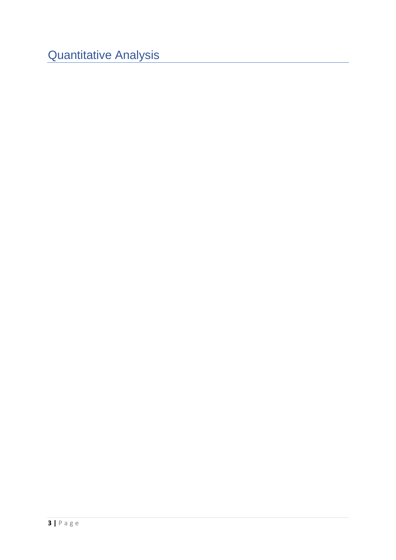Quantitative Analysis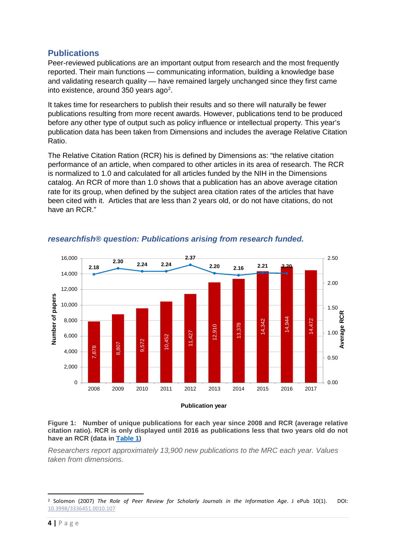#### <span id="page-3-0"></span>**Publications**

Peer-reviewed publications are an important output from research and the most frequently reported. Their main functions — communicating information, building a knowledge base and validating research quality — have remained largely unchanged since they first came into existence, around 350 years ago<sup>[2](#page-3-1)</sup>.

It takes time for researchers to publish their results and so there will naturally be fewer publications resulting from more recent awards. However, publications tend to be produced before any other type of output such as policy influence or intellectual property. This year's publication data has been taken from Dimensions and includes the average Relative Citation Ratio.

The Relative Citation Ration (RCR) his is defined by Dimensions as: "the relative citation performance of an article, when compared to other articles in its area of research. The RCR is normalized to 1.0 and calculated for all articles funded by the NIH in the Dimensions catalog. An RCR of more than 1.0 shows that a publication has an above average citation rate for its group, when defined by the subject area citation rates of the articles that have been cited with it. Articles that are less than 2 years old, or do not have citations, do not have an RCR."



#### *researchfish® question: Publications arising from research funded.*

<span id="page-3-2"></span>

*Researchers report approximately 13,900 new publications to the MRC each year. Values taken from dimensions.*

<span id="page-3-1"></span> <sup>2</sup> Solomon (2007) *The Role of Peer Review for Scholarly Journals in the Information Age*. J ePub 10(1). DOI: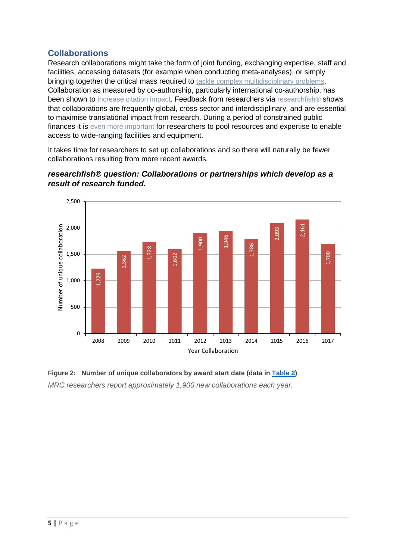# <span id="page-4-0"></span>**Collaborations**

Research collaborations might take the form of joint funding, exchanging expertise, staff and facilities, accessing datasets (for example when conducting meta-analyses), or simply bringing together the critical mass required to [tackle complex multidisciplinary problems.](https://www.mrc.ac.uk/links/the-many-faces-of-collaboration-and-teamwork-in-scientific-research/) Collaboration as measured by co-authorship, particularly international co-authorship, has been shown to [increase citation impact.](https://www.mrc.ac.uk/links/international-comparative-performance-of-the-uk-research-base-2013/) Feedback from researchers via [researchfish®](https://www.mrc.ac.uk/links/researchfish/) shows that collaborations are frequently global, cross-sector and interdisciplinary, and are essential to maximise translational impact from research. During a period of constrained public finances it is [even more important](https://www.mrc.ac.uk/links/growing-the-best-and-brightest-the-drivers-of-research-excellence/) for researchers to pool resources and expertise to enable access to wide-ranging facilities and equipment.

It takes time for researchers to set up collaborations and so there will naturally be fewer collaborations resulting from more recent awards.





<span id="page-4-1"></span>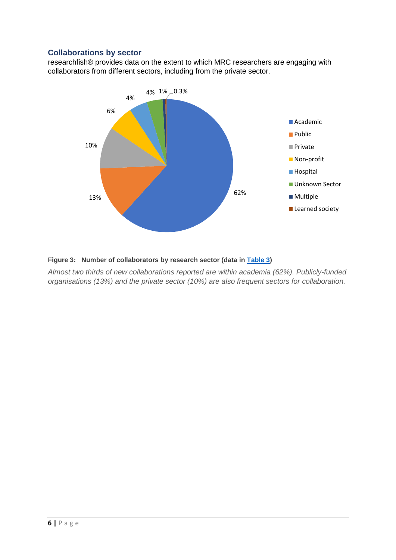#### **Collaborations by sector**

researchfish® provides data on the extent to which MRC researchers are engaging with collaborators from different sectors, including from the private sector.



#### <span id="page-5-0"></span>**Figure 3: Number of collaborators by research sector (data in [Table 3\)](#page-21-1)**

*Almost two thirds of new collaborations reported are within academia (62%). Publicly-funded organisations (13%) and the private sector (10%) are also frequent sectors for collaboration.*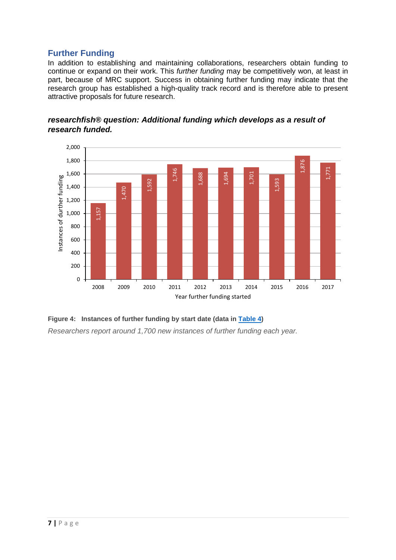# <span id="page-6-0"></span>**Further Funding**

In addition to establishing and maintaining collaborations, researchers obtain funding to continue or expand on their work. This *further funding* may be competitively won, at least in part, because of MRC support. Success in obtaining further funding may indicate that the research group has established a high-quality track record and is therefore able to present attractive proposals for future research.





<span id="page-6-1"></span>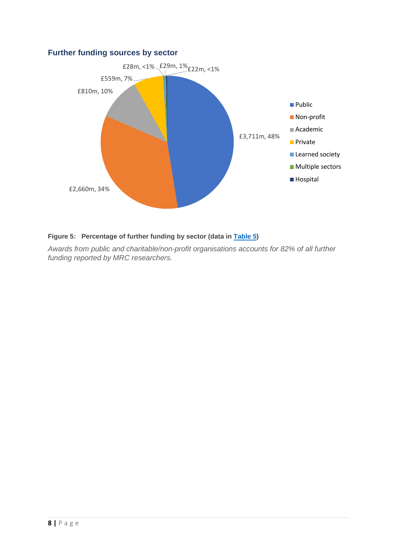#### **Further funding sources by sector**



#### <span id="page-7-1"></span>**Figure 5: Percentage of further funding by sector (data in [Table 5\)](#page-21-3)**

<span id="page-7-0"></span>*Awards from public and charitable/non-profit organisations accounts for 82% of all further funding reported by MRC researchers.*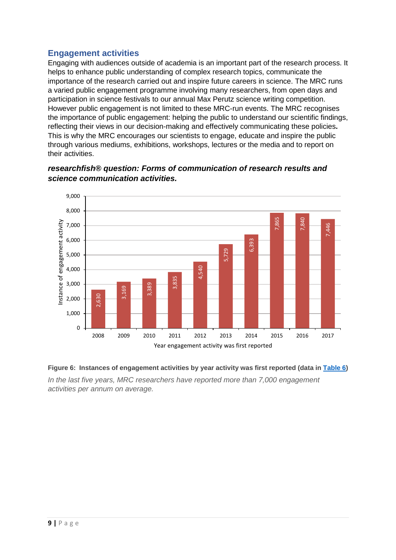# **Engagement activities**

Engaging with audiences outside of academia is an important part of the research process. It helps to enhance public understanding of complex research topics, communicate the importance of the research carried out and inspire future careers in science. The MRC runs a varied public engagement programme involving many researchers, from open days and participation in science festivals to our annual Max Perutz science writing competition. However public engagement is not limited to these MRC-run events. The MRC recognises the importance of public engagement: helping the public to understand our scientific findings, reflecting their views in our decision-making and effectively communicating these policies**.**  This is why the MRC encourages our scientists to engage, educate and inspire the public through various mediums, exhibitions, workshops, lectures or the media and to report on their activities.



*researchfish® question: Forms of communication of research results and science communication activities.*

#### <span id="page-8-0"></span>**Figure 6: Instances of engagement activities by year activity was first reported (data i[n Table 6\)](#page-22-1)**

*In the last five years, MRC researchers have reported more than 7,000 engagement*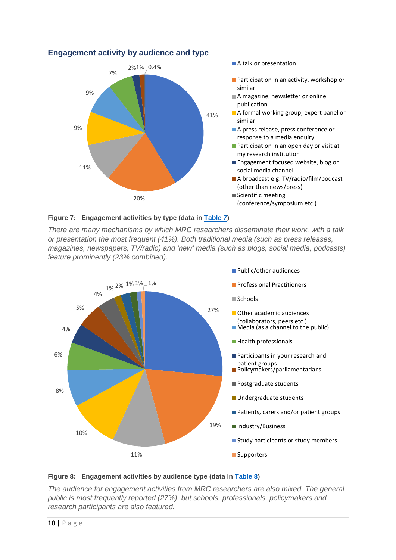

#### **Engagement activity by audience and type**

#### <span id="page-9-0"></span>**Figure 7: Engagement activities by type (data in [Table 7\)](#page-22-2)**

*There are many mechanisms by which MRC researchers disseminate their work, with a talk or presentation the most frequent (41%). Both traditional media (such as press releases, magazines, newspapers, TV/radio) and 'new' media (such as blogs, social media, podcasts) feature prominently (23% combined).*



#### <span id="page-9-1"></span>**Figure 8: Engagement activities by audience type (data in [Table 8\)](#page-23-1)**

*The audience for engagement activities from MRC researchers are also mixed. The general public is most frequently reported (27%), but schools, professionals, policymakers and research participants are also featured.*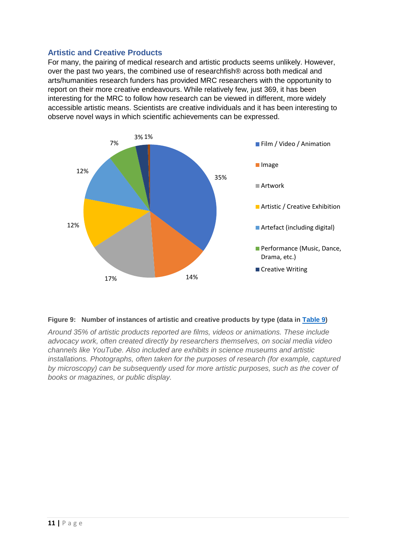#### <span id="page-10-0"></span>**Artistic and Creative Products**

For many, the pairing of medical research and artistic products seems unlikely. However, over the past two years, the combined use of researchfish® across both medical and arts/humanities research funders has provided MRC researchers with the opportunity to report on their more creative endeavours. While relatively few, just 369, it has been interesting for the MRC to follow how research can be viewed in different, more widely accessible artistic means. Scientists are creative individuals and it has been interesting to observe novel ways in which scientific achievements can be expressed.



#### <span id="page-10-1"></span>**Figure 9: Number of instances of artistic and creative products by type (data in [Table 9\)](#page-23-2)**

*Around 35% of artistic products reported are films, videos or animations. These include advocacy work, often created directly by researchers themselves, on social media video channels like YouTube. Also included are exhibits in science museums and artistic installations. Photographs, often taken for the purposes of research (for example, captured by microscopy) can be subsequently used for more artistic purposes, such as the cover of books or magazines, or public display.*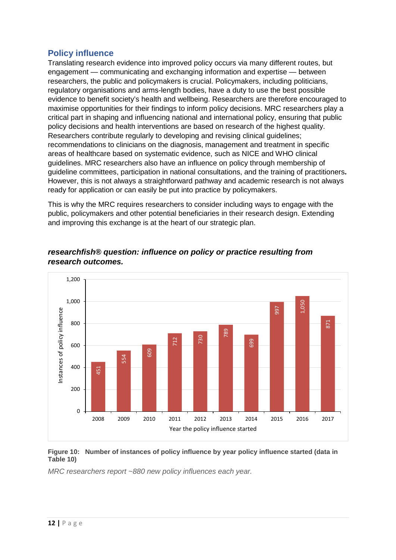# <span id="page-11-0"></span>**Policy influence**

Translating research evidence into improved policy occurs via many different routes, but engagement — communicating and exchanging information and expertise — between researchers, the public and policymakers is crucial. Policymakers, including politicians, regulatory organisations and arms-length bodies, have a duty to use the best possible evidence to benefit society's health and wellbeing. Researchers are therefore encouraged to maximise opportunities for their findings to inform policy decisions. MRC researchers play a critical part in shaping and influencing national and international policy, ensuring that public policy decisions and health interventions are based on research of the highest quality. Researchers contribute regularly to developing and revising clinical guidelines; recommendations to clinicians on the diagnosis, management and treatment in specific areas of healthcare based on systematic evidence, such as NICE and WHO clinical guidelines. MRC researchers also have an influence on policy through membership of guideline committees, participation in national consultations, and the training of practitioners**.**  However, this is not always a straightforward pathway and academic research is not always ready for application or can easily be put into practice by policymakers.

This is why the MRC requires researchers to consider including ways to engage with the public, policymakers and other potential beneficiaries in their research design. Extending and improving this exchange is at the heart of our strategic plan.



#### *researchfish® question: influence on policy or practice resulting from research outcomes.*

#### <span id="page-11-1"></span>**Figure 10: Number of instances of policy influence by year policy influence started (data in Table 10)**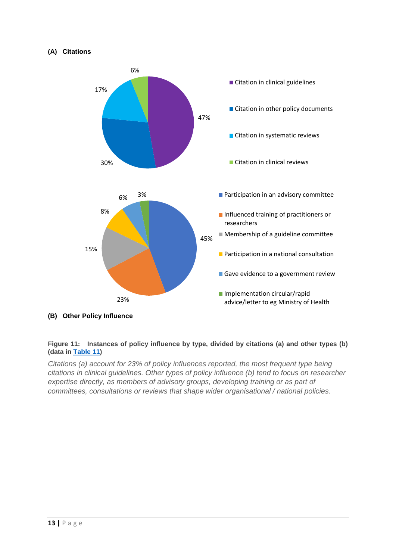#### **(A) Citations**



**(B) Other Policy Influence**

#### <span id="page-12-0"></span>**Figure 11: Instances of policy influence by type, divided by citations (a) and other types (b) (data in [Table 11\)](#page-24-1)**

*Citations (a) account for 23% of policy influences reported, the most frequent type being citations in clinical guidelines. Other types of policy influence (b) tend to focus on researcher expertise directly, as members of advisory groups, developing training or as part of committees, consultations or reviews that shape wider organisational / national policies.*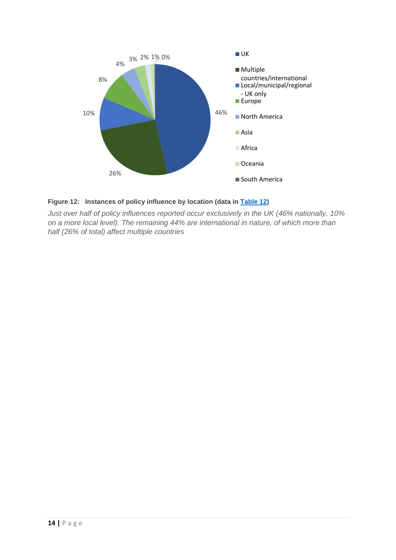

#### <span id="page-13-0"></span>**Figure 12: Instances of policy influence by location (data in [Table 12\)](#page-25-1)**

*Just over half of policy influences reported occur exclusively in the UK (46% nationally, 10% on a more local level). The remaining 44% are international in nature, of which more than half (26% of total) affect multiple countries*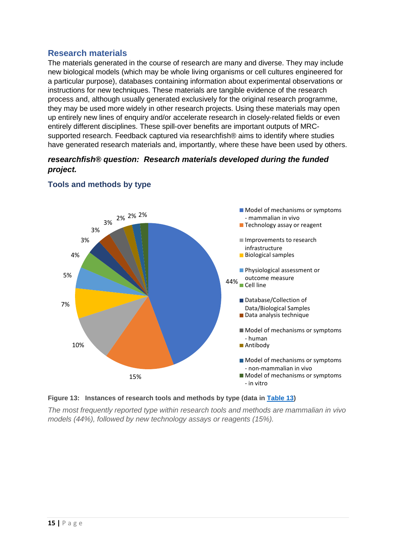#### <span id="page-14-0"></span>**Research materials**

The materials generated in the course of research are many and diverse. They may include new biological models (which may be whole living organisms or cell cultures engineered for a particular purpose), databases containing information about experimental observations or instructions for new techniques. These materials are tangible evidence of the research process and, although usually generated exclusively for the original research programme, they may be used more widely in other research projects. Using these materials may open up entirely new lines of enquiry and/or accelerate research in closely-related fields or even entirely different disciplines. These spill-over benefits are important outputs of MRCsupported research. Feedback captured via researchfish® aims to identify where studies have generated research materials and, importantly, where these have been used by others.

#### *researchfish® question: Research materials developed during the funded project.*



#### **Tools and methods by type**

<span id="page-14-1"></span>

*The most frequently reported type within research tools and methods are mammalian in vivo models (44%), followed by new technology assays or reagents (15%).*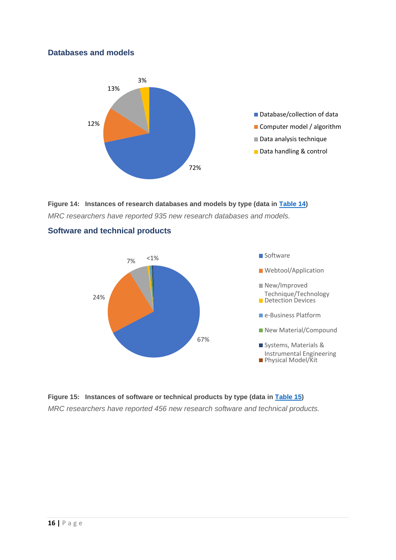#### **Databases and models**



<span id="page-15-0"></span>**Figure 14: Instances of research databases and models by type (data in [Table 14\)](#page-26-1)** *MRC researchers have reported 935 new research databases and models.*



#### **Software and technical products**

<span id="page-15-1"></span>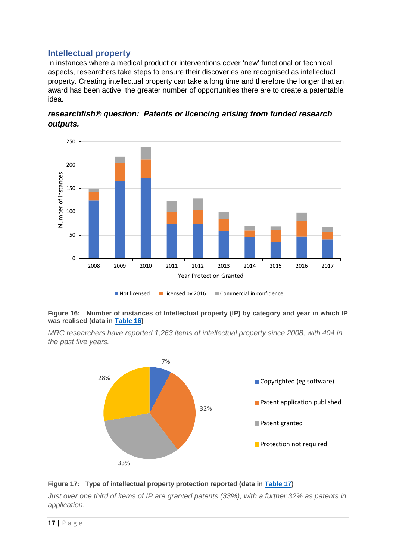#### <span id="page-16-0"></span>**Intellectual property**

In instances where a medical product or interventions cover 'new' functional or technical aspects, researchers take steps to ensure their discoveries are recognised as intellectual property. Creating intellectual property can take a long time and therefore the longer that an award has been active, the greater number of opportunities there are to create a patentable idea.



*researchfish® question: Patents or licencing arising from funded research outputs.*

#### <span id="page-16-1"></span>**Figure 16: Number of instances of Intellectual property (IP) by category and year in which IP was realised (data in [Table 16\)](#page-26-3)**

*MRC researchers have reported 1,263 items of intellectual property since 2008, with 404 in the past five years.*



#### <span id="page-16-2"></span>**Figure 17: Type of intellectual property protection reported (data in [Table 17\)](#page-27-2)**

*Just over one third of items of IP are granted patents (33%), with a further 32% as patents in application.*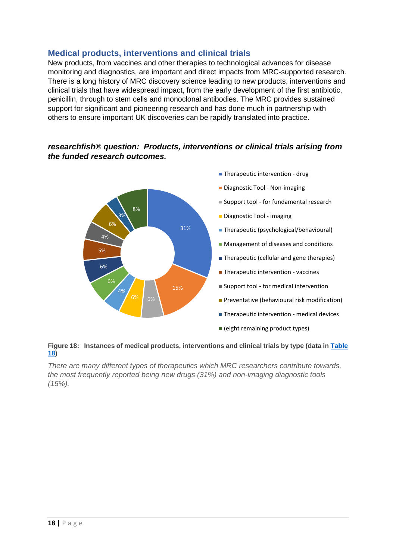#### <span id="page-17-0"></span>**Medical products, interventions and clinical trials**

New products, from vaccines and other therapies to technological advances for disease monitoring and diagnostics, are important and direct impacts from MRC-supported research. There is a long history of MRC discovery science leading to new products, interventions and clinical trials that have widespread impact, from the early development of the first antibiotic, penicillin, through to stem cells and monoclonal antibodies. The MRC provides sustained support for significant and pioneering research and has done much in partnership with others to ensure important UK discoveries can be rapidly translated into practice.

#### *researchfish® question: Products, interventions or clinical trials arising from the funded research outcomes.*



#### <span id="page-17-2"></span>**Figure 18: Instances of medical products, interventions and clinical trials by type (data in [Table](#page-27-3)  [18\)](#page-27-3)**

<span id="page-17-1"></span>*There are many different types of therapeutics which MRC researchers contribute towards, the most frequently reported being new drugs (31%) and non-imaging diagnostic tools (15%).*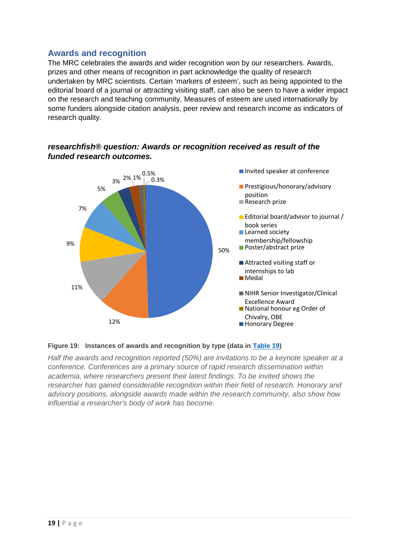# **Awards and recognition**

The MRC celebrates the awards and wider recognition won by our researchers. Awards, prizes and other means of recognition in part acknowledge the quality of research undertaken by MRC scientists. Certain 'markers of esteem', such as being appointed to the editorial board of a journal or attracting visiting staff, can also be seen to have a wider impact on the research and teaching community. Measures of esteem are used internationally by some funders alongside citation analysis, peer review and research income as indicators of research quality.



#### *researchfish® question: Awards or recognition received as result of the funded research outcomes.*

#### <span id="page-18-0"></span>**Figure 19: Instances of awards and recognition by type (data in [Table 19\)](#page-28-0)**

*Half the awards and recognition reported (50%) are invitations to be a keynote speaker at a conference. Conferences are a primary source of rapid research dissemination within academia, where researchers present their latest findings. To be invited shows the researcher has gained considerable recognition within their field of research. Honorary and advisory positions, alongside awards made within the research community, also show how influential a researcher's body of work has become.*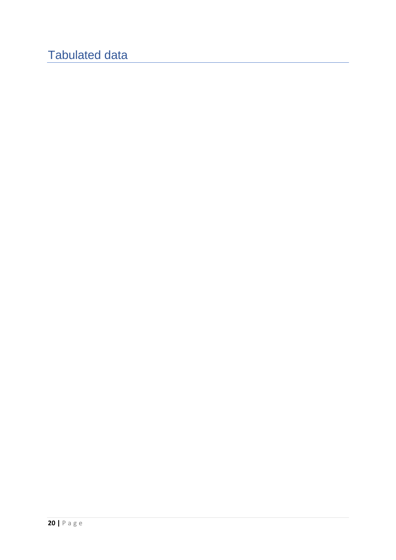# Tabulated data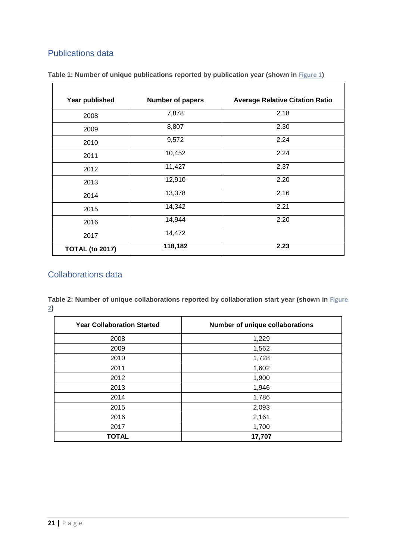# <span id="page-20-0"></span>Publications data

| Year published         | <b>Number of papers</b> | <b>Average Relative Citation Ratio</b> |
|------------------------|-------------------------|----------------------------------------|
| 2008                   | 7,878                   | 2.18                                   |
| 2009                   | 8,807                   | 2.30                                   |
| 2010                   | 9,572                   | 2.24                                   |
| 2011                   | 10,452                  | 2.24                                   |
| 2012                   | 11,427                  | 2.37                                   |
| 2013                   | 12,910                  | 2.20                                   |
| 2014                   | 13,378                  | 2.16                                   |
| 2015                   | 14,342                  | 2.21                                   |
| 2016                   | 14,944                  | 2.20                                   |
| 2017                   | 14,472                  |                                        |
| <b>TOTAL (to 2017)</b> | 118,182                 | 2.23                                   |

<span id="page-20-2"></span>**Table 1: Number of unique publications reported by publication year (shown in [Figure 1](#page-3-2))**

# <span id="page-20-1"></span>Collaborations data

<span id="page-20-3"></span>**Table 2: Number of unique collaborations reported by collaboration start year (shown in [Figure](#page-4-1)  )**

| <b>Year Collaboration Started</b> | Number of unique collaborations |
|-----------------------------------|---------------------------------|
| 2008                              | 1,229                           |
| 2009                              | 1,562                           |
| 2010                              | 1,728                           |
| 2011                              | 1,602                           |
| 2012                              | 1,900                           |
| 2013                              | 1,946                           |
| 2014                              | 1,786                           |
| 2015                              | 2,093                           |
| 2016                              | 2,161                           |
| 2017                              | 1,700                           |
| <b>TOTAL</b>                      | 17,707                          |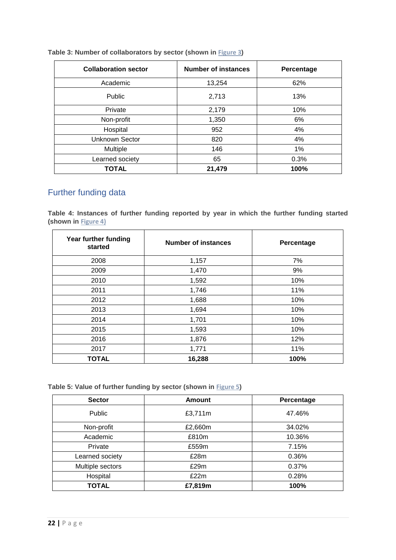| <b>Collaboration sector</b> | <b>Number of instances</b> | Percentage |
|-----------------------------|----------------------------|------------|
| Academic                    | 13,254                     | 62%        |
| <b>Public</b>               | 2,713                      | 13%        |
| Private                     | 2,179                      | 10%        |
| Non-profit                  | 1,350                      | 6%         |
| Hospital                    | 952                        | 4%         |
| <b>Unknown Sector</b>       | 820                        | 4%         |
| Multiple                    | 146                        | 1%         |
| Learned society             | 65                         | 0.3%       |
| <b>TOTAL</b>                | 21,479                     | 100%       |

#### <span id="page-21-1"></span>**Table 3: Number of collaborators by sector (shown in [Figure 3](#page-5-0))**

# <span id="page-21-0"></span>Further funding data

<span id="page-21-2"></span>**Table 4: Instances of further funding reported by year in which the further funding started (shown in [Figure](#page-6-1) 4)**

| Year further funding<br>started | <b>Number of instances</b> | Percentage |
|---------------------------------|----------------------------|------------|
| 2008                            | 1,157                      | 7%         |
| 2009                            | 1,470                      | 9%         |
| 2010                            | 1,592                      | 10%        |
| 2011                            | 1,746                      | 11%        |
| 2012                            | 1,688                      | 10%        |
| 2013                            | 1,694                      | 10%        |
| 2014                            | 1,701                      | 10%        |
| 2015                            | 1,593                      | 10%        |
| 2016                            | 1,876                      | 12%        |
| 2017                            | 1,771                      | 11%        |
| <b>TOTAL</b>                    | 16,288                     | 100%       |

<span id="page-21-3"></span>**Table 5: Value of further funding by sector (shown in [Figure 5](#page-7-1))**

| <b>Sector</b>    | <b>Amount</b> | Percentage |
|------------------|---------------|------------|
| <b>Public</b>    | £3,711m       | 47.46%     |
| Non-profit       | £2,660m       | 34.02%     |
| Academic         | £810m         | 10.36%     |
| Private          | £559m         | 7.15%      |
| Learned society  | £28m          | 0.36%      |
| Multiple sectors | £29m          | 0.37%      |
| Hospital         | £22m          | 0.28%      |
| <b>TOTAL</b>     | £7,819m       | 100%       |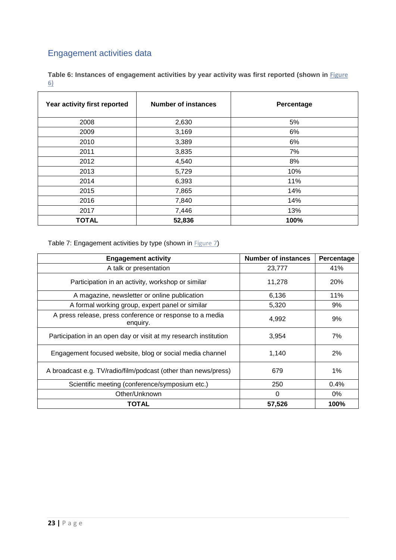# <span id="page-22-0"></span>Engagement activities data

<span id="page-22-1"></span>**Table 6: Instances of engagement activities by year activity was first reported (shown in [Figure](#page-8-0)  6)**

| Year activity first reported | <b>Number of instances</b> | Percentage |
|------------------------------|----------------------------|------------|
| 2008                         | 2,630                      | 5%         |
| 2009                         | 3,169                      | 6%         |
| 2010                         | 3,389                      | 6%         |
| 2011                         | 3,835                      | 7%         |
| 2012                         | 4,540                      | 8%         |
| 2013                         | 5,729                      | 10%        |
| 2014                         | 6,393                      | 11%        |
| 2015                         | 7,865                      | 14%        |
| 2016                         | 7,840                      | 14%        |
| 2017                         | 7,446                      | 13%        |
| <b>TOTAL</b>                 | 52,836                     | 100%       |

<span id="page-22-2"></span>Table 7: Engagement activities by type (shown in  $Figure 7$ )

| <b>Engagement activity</b>                                           | <b>Number of instances</b> | Percentage |
|----------------------------------------------------------------------|----------------------------|------------|
| A talk or presentation                                               | 23,777                     | 41%        |
| Participation in an activity, workshop or similar                    | 11,278                     | 20%        |
| A magazine, newsletter or online publication                         | 6,136                      | 11%        |
| A formal working group, expert panel or similar                      | 5,320                      | 9%         |
| A press release, press conference or response to a media<br>enquiry. | 4,992                      | 9%         |
| Participation in an open day or visit at my research institution     | 3,954                      | 7%         |
| Engagement focused website, blog or social media channel             | 1,140                      | 2%         |
| A broadcast e.g. TV/radio/film/podcast (other than news/press)       | 679                        | $1\%$      |
| Scientific meeting (conference/symposium etc.)                       | 250                        | 0.4%       |
| Other/Unknown                                                        | 0                          | 0%         |
| <b>TOTAL</b>                                                         | 57,526                     | 100%       |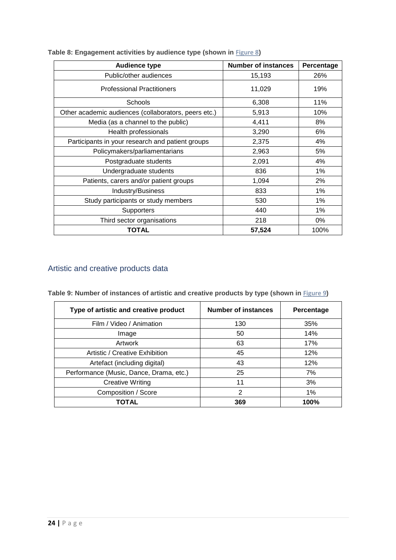| <b>Audience type</b>                                 | <b>Number of instances</b> | Percentage |
|------------------------------------------------------|----------------------------|------------|
| Public/other audiences                               | 15,193                     | 26%        |
| <b>Professional Practitioners</b>                    | 11,029                     | 19%        |
| Schools                                              | 6,308                      | 11%        |
| Other academic audiences (collaborators, peers etc.) | 5,913                      | 10%        |
| Media (as a channel to the public)                   | 4,411                      | 8%         |
| Health professionals                                 | 3,290                      | 6%         |
| Participants in your research and patient groups     | 2,375                      | 4%         |
| Policymakers/parliamentarians                        | 2,963                      | 5%         |
| Postgraduate students                                | 2,091                      | 4%         |
| Undergraduate students                               | 836                        | 1%         |
| Patients, carers and/or patient groups               | 1,094                      | 2%         |
| Industry/Business                                    | 833                        | 1%         |
| Study participants or study members                  | 530                        | 1%         |
| Supporters                                           | 440                        | 1%         |
| Third sector organisations                           | 218                        | 0%         |
| TOTAL                                                | 57,524                     | 100%       |

<span id="page-23-1"></span>**Table 8: Engagement activities by audience type (shown in [Figure 8](#page-9-1))**

# <span id="page-23-0"></span>Artistic and creative products data

<span id="page-23-2"></span>

| Table 9: Number of instances of artistic and creative products by type (shown in Figure 9) |  |  |  |
|--------------------------------------------------------------------------------------------|--|--|--|
|--------------------------------------------------------------------------------------------|--|--|--|

| Type of artistic and creative product   | <b>Number of instances</b> | Percentage |
|-----------------------------------------|----------------------------|------------|
| Film / Video / Animation                | 130                        | 35%        |
| Image                                   | 50                         | 14%        |
| Artwork                                 | 63                         | 17%        |
| Artistic / Creative Exhibition          | 45                         | 12%        |
| Artefact (including digital)            | 43                         | 12%        |
| Performance (Music, Dance, Drama, etc.) | 25                         | 7%         |
| <b>Creative Writing</b>                 | 11                         | 3%         |
| Composition / Score                     | $\overline{2}$             | 1%         |
| TOTAL                                   | 369                        | 100%       |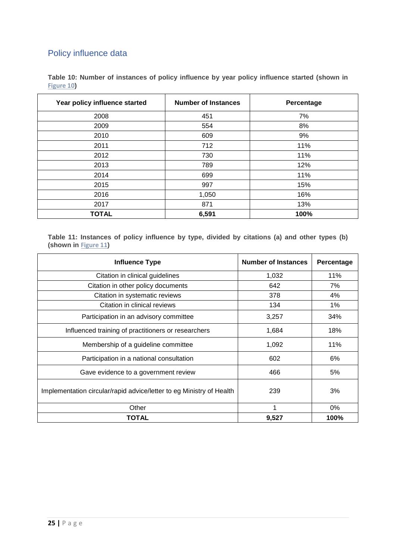# <span id="page-24-0"></span>Policy influence data

| Table 10: Number of instances of policy influence by year policy influence started (shown in |  |  |  |  |
|----------------------------------------------------------------------------------------------|--|--|--|--|
| Figure 10)                                                                                   |  |  |  |  |

| Year policy influence started | <b>Number of Instances</b> | Percentage |
|-------------------------------|----------------------------|------------|
| 2008                          | 451                        | 7%         |
| 2009                          | 554                        | 8%         |
| 2010                          | 609                        | 9%         |
| 2011                          | 712                        | 11%        |
| 2012                          | 730                        | 11%        |
| 2013                          | 789                        | 12%        |
| 2014                          | 699                        | 11%        |
| 2015                          | 997                        | 15%        |
| 2016                          | 1,050                      | 16%        |
| 2017                          | 871                        | 13%        |
| <b>TOTAL</b>                  | 6,591                      | 100%       |

<span id="page-24-1"></span>**Table 11: Instances of policy influence by type, divided by citations (a) and other types (b) (shown in [Figure 11](#page-12-0))**

| <b>Influence Type</b>                                                | <b>Number of Instances</b> | Percentage |
|----------------------------------------------------------------------|----------------------------|------------|
| Citation in clinical guidelines                                      | 1,032                      | 11%        |
| Citation in other policy documents                                   | 642                        | 7%         |
| Citation in systematic reviews                                       | 378                        | 4%         |
| Citation in clinical reviews                                         | 134                        | $1\%$      |
| Participation in an advisory committee                               | 3,257                      | 34%        |
| Influenced training of practitioners or researchers                  | 1,684                      | 18%        |
| Membership of a guideline committee                                  | 1,092                      | 11%        |
| Participation in a national consultation                             | 602                        | 6%         |
| Gave evidence to a government review                                 | 466                        | 5%         |
| Implementation circular/rapid advice/letter to eg Ministry of Health | 239                        | 3%         |
| Other                                                                | 1                          | 0%         |
| TOTAL                                                                | 9,527                      | 100%       |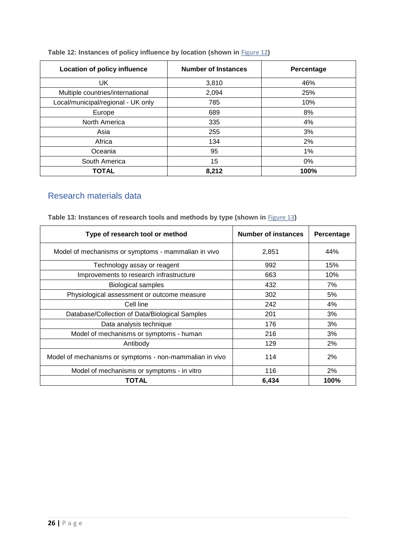#### <span id="page-25-1"></span>**Table 12: Instances of policy influence by location (shown in [Figure](#page-13-0) 12)**

| Location of policy influence       | <b>Number of Instances</b> | Percentage |
|------------------------------------|----------------------------|------------|
| UK                                 | 3,810                      | 46%        |
| Multiple countries/international   | 2,094                      | 25%        |
| Local/municipal/regional - UK only | 785                        | 10%        |
| Europe                             | 689                        | 8%         |
| North America                      | 335                        | 4%         |
| Asia                               | 255                        | 3%         |
| Africa                             | 134                        | 2%         |
| Oceania                            | 95                         | $1\%$      |
| South America                      | 15                         | $0\%$      |
| <b>TOTAL</b>                       | 8,212                      | 100%       |

# <span id="page-25-0"></span>Research materials data

| Type of research tool or method                         | <b>Number of instances</b> | Percentage |
|---------------------------------------------------------|----------------------------|------------|
| Model of mechanisms or symptoms - mammalian in vivo     | 2,851                      | 44%        |
| Technology assay or reagent                             | 992                        | 15%        |
| Improvements to research infrastructure                 | 663                        | 10%        |
| <b>Biological samples</b>                               | 432                        | 7%         |
| Physiological assessment or outcome measure             | 302                        | 5%         |
| Cell line                                               | 242                        | 4%         |
| Database/Collection of Data/Biological Samples          | 201                        | 3%         |
| Data analysis technique                                 | 176                        | 3%         |
| Model of mechanisms or symptoms - human                 | 216                        | 3%         |
| Antibody                                                | 129                        | 2%         |
| Model of mechanisms or symptoms - non-mammalian in vivo | 114                        | 2%         |
| Model of mechanisms or symptoms - in vitro              | 116                        | 2%         |
| <b>TOTAL</b>                                            | 6,434                      | 100%       |

<span id="page-25-2"></span>**Table 13: Instances of research tools and methods by type (shown in [Figure 1](#page-14-1)3)**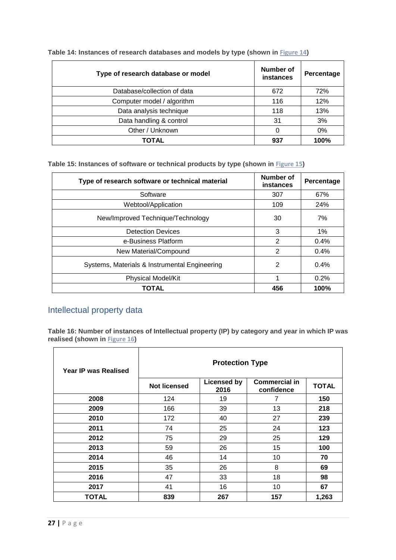| Type of research database or model | Number of<br>instances | Percentage |
|------------------------------------|------------------------|------------|
| Database/collection of data        | 672                    | 72%        |
| Computer model / algorithm         | 116                    | 12%        |
| Data analysis technique            | 118                    | 13%        |
| Data handling & control            | 31                     | 3%         |
| Other / Unknown                    | 0                      | 0%         |
| TOTAL                              | 937                    | 100%       |

<span id="page-26-1"></span>**Table 14: Instances of research databases and models by type (shown in [Figure 14](#page-15-0))**

<span id="page-26-2"></span>**Table 15: Instances of software or technical products by type (shown in [Figure](#page-15-1) 15)**

| Type of research software or technical material | Number of<br>instances | Percentage |
|-------------------------------------------------|------------------------|------------|
| Software                                        | 307                    | 67%        |
| Webtool/Application                             | 109                    | 24%        |
| New/Improved Technique/Technology               | 30                     | 7%         |
| <b>Detection Devices</b>                        | 3                      | $1\%$      |
| e-Business Platform                             | $\mathcal{P}$          | $0.4\%$    |
| New Material/Compound                           | $\mathcal{P}$          | $0.4\%$    |
| Systems, Materials & Instrumental Engineering   | 2                      | 0.4%       |
| <b>Physical Model/Kit</b>                       | 1                      | 0.2%       |
| <b>TOTAL</b>                                    | 456                    | 100%       |

# <span id="page-26-0"></span>Intellectual property data

<span id="page-26-3"></span>**Table 16: Number of instances of Intellectual property (IP) by category and year in which IP was realised (shown in [Figure](#page-16-1) 16)**

| Year IP was Realised | <b>Protection Type</b> |                            |                                    |              |
|----------------------|------------------------|----------------------------|------------------------------------|--------------|
|                      | <b>Not licensed</b>    | <b>Licensed by</b><br>2016 | <b>Commercial in</b><br>confidence | <b>TOTAL</b> |
| 2008                 | 124                    | 19                         | 7                                  | 150          |
| 2009                 | 166                    | 39                         | 13                                 | 218          |
| 2010                 | 172                    | 40                         | 27                                 | 239          |
| 2011                 | 74                     | 25                         | 24                                 | 123          |
| 2012                 | 75                     | 29                         | 25                                 | 129          |
| 2013                 | 59                     | 26                         | 15                                 | 100          |
| 2014                 | 46                     | 14                         | 10                                 | 70           |
| 2015                 | 35                     | 26                         | 8                                  | 69           |
| 2016                 | 47                     | 33                         | 18                                 | 98           |
| 2017                 | 41                     | 16                         | 10                                 | 67           |
| TOTAL                | 839                    | 267                        | 157                                | 1,263        |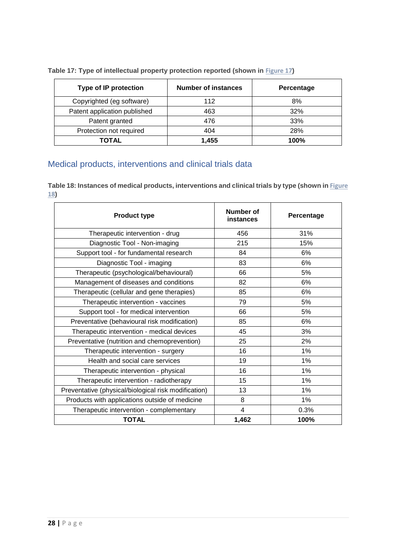| <b>Type of IP protection</b> | <b>Number of instances</b> | Percentage |
|------------------------------|----------------------------|------------|
| Copyrighted (eg software)    | 112                        | 8%         |
| Patent application published | 463                        | 32%        |
| Patent granted               | 476                        | 33%        |
| Protection not required      | 404                        | 28%        |
| TOTAL                        | 1,455                      | 100%       |

<span id="page-27-2"></span>**Table 17: Type of intellectual property protection reported (shown in [Figure](#page-16-2) 17)**

# <span id="page-27-0"></span>Medical products, interventions and clinical trials data

<span id="page-27-3"></span>**Table 18: Instances of medical products, interventions and clinical trials by type (shown in [Figure](#page-17-2)  18)**

<span id="page-27-1"></span>

| <b>Product type</b>                                  | Number of<br>instances | Percentage |
|------------------------------------------------------|------------------------|------------|
| Therapeutic intervention - drug                      | 456                    | 31%        |
| Diagnostic Tool - Non-imaging                        | 215                    | 15%        |
| Support tool - for fundamental research              | 84                     | 6%         |
| Diagnostic Tool - imaging                            | 83                     | 6%         |
| Therapeutic (psychological/behavioural)              | 66                     | 5%         |
| Management of diseases and conditions                | 82                     | 6%         |
| Therapeutic (cellular and gene therapies)            | 85                     | 6%         |
| Therapeutic intervention - vaccines                  | 79                     | 5%         |
| Support tool - for medical intervention              | 66                     | 5%         |
| Preventative (behavioural risk modification)         | 85                     | 6%         |
| Therapeutic intervention - medical devices           | 45                     | 3%         |
| Preventative (nutrition and chemoprevention)         | 25                     | 2%         |
| Therapeutic intervention - surgery                   | 16                     | 1%         |
| Health and social care services                      | 19                     | 1%         |
| Therapeutic intervention - physical                  | 16                     | 1%         |
| Therapeutic intervention - radiotherapy              | 15                     | 1%         |
| Preventative (physical/biological risk modification) | 13                     | 1%         |
| Products with applications outside of medicine       | 8                      | 1%         |
| Therapeutic intervention - complementary             | 4                      | 0.3%       |
| <b>TOTAL</b>                                         | 1,462                  | 100%       |